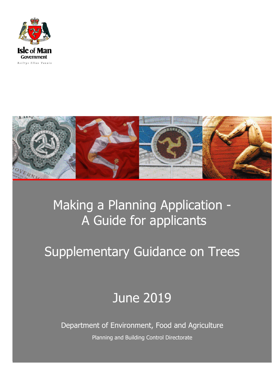



## Making a Planning Application - A Guide for applicants

# Supplementary Guidance on Trees

## June 2019

Department of Environment, Food and Agriculture Planning and Building Control Directorate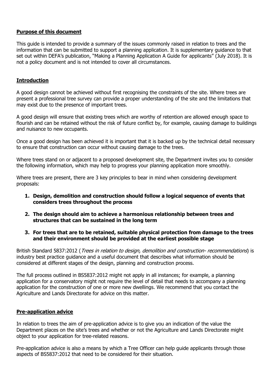## **Purpose of this document**

This guide is intended to provide a summary of the issues commonly raised in relation to trees and the information that can be submitted to support a planning application. It is supplementary guidance to that set out within DEFA's publication, "Making a Planning Application A Guide for applicants" (July 2018). It is not a policy document and is not intended to cover all circumstances.

### **Introduction**

A good design cannot be achieved without first recognising the constraints of the site. Where trees are present a professional tree survey can provide a proper understanding of the site and the limitations that may exist due to the presence of important trees.

A good design will ensure that existing trees which are worthy of retention are allowed enough space to flourish and can be retained without the risk of future conflict by, for example, causing damage to buildings and nuisance to new occupants.

Once a good design has been achieved it is important that it is backed up by the technical detail necessary to ensure that construction can occur without causing damage to the trees.

Where trees stand on or adjacent to a proposed development site, the Department invites you to consider the following information, which may help to progress your planning application more smoothly.

Where trees are present, there are 3 key principles to bear in mind when considering development proposals:

- **1. Design, demolition and construction should follow a logical sequence of events that considers trees throughout the process**
- **2. The design should aim to achieve a harmonious relationship between trees and structures that can be sustained in the long term**
- **3. For trees that are to be retained, suitable physical protection from damage to the trees and their environment should be provided at the earliest possible stage**

British Standard 5837:2012 (*Trees in relation to design, demolition and construction- recommendations*) is industry best practice guidance and a useful document that describes what information should be considered at different stages of the design, planning and construction process.

The full process outlined in BS5837:2012 might not apply in all instances; for example, a planning application for a conservatory might not require the level of detail that needs to accompany a planning application for the construction of one or more new dwellings. We recommend that you contact the Agriculture and Lands Directorate for advice on this matter.

#### **Pre-application advice**

In relation to trees the aim of pre-application advice is to give you an indication of the value the Department places on the site's trees and whether or not the Agriculture and Lands Directorate might object to your application for tree-related reasons.

Pre-application advice is also a means by which a Tree Officer can help guide applicants through those aspects of BS5837:2012 that need to be considered for their situation.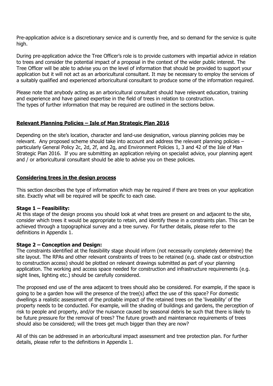Pre-application advice is a discretionary service and is currently free, and so demand for the service is quite high.

During pre-application advice the Tree Officer's role is to provide customers with impartial advice in relation to trees and consider the potential impact of a proposal in the context of the wider public interest. The Tree Officer will be able to advise you on the level of information that should be provided to support your application but it will not act as an arboricultural consultant. It may be necessary to employ the services of a suitably qualified and experienced arboricultural consultant to produce some of the information required.

Please note that anybody acting as an arboricultural consultant should have relevant education, training and experience and have gained expertise in the field of trees in relation to construction. The types of further information that may be required are outlined in the sections below.

## **Relevant Planning Policies – Isle of Man Strategic Plan 2016**

Depending on the site's location, character and land-use designation, various planning policies may be relevant. Any proposed scheme should take into account and address the relevant planning policies – particularly General Policy 2c, 2d, 2f, and 2g, and Environment Policies 1, 3 and 42 of the Isle of Man Strategic Plan 2016. If you are submitting an application relying on specialist advice, your planning agent and / or arboricultural consultant should be able to advise you on these policies.

#### **Considering trees in the design process**

This section describes the type of information which may be required if there are trees on your application site. Exactly what will be required will be specific to each case.

#### **Stage 1 – Feasibility:**

At this stage of the design process you should look at what trees are present on and adjacent to the site, consider which trees it would be appropriate to retain, and identify these in a constraints plan. This can be achieved through a topographical survey and a tree survey. For further details, please refer to the definitions in Appendix 1.

#### **Stage 2 – Conception and Design:**

The constraints identified at the feasibility stage should inform (not necessarily completely determine) the site layout. The RPAs and other relevant constraints of trees to be retained (e.g. shade cast or obstruction to construction access) should be plotted on relevant drawings submitted as part of your planning application. The working and access space needed for construction and infrastructure requirements (e.g. sight lines, lighting etc.) should be carefully considered.

The proposed end use of the area adjacent to trees should also be considered. For example, if the space is going to be a garden how will the presence of the tree(s) affect the use of this space? For domestic dwellings a realistic assessment of the probable impact of the retained trees on the 'liveability' of the property needs to be conducted. For example, will the shading of buildings and gardens, the perception of risk to people and property, and/or the nuisance caused by seasonal debris be such that there is likely to be future pressure for the removal of trees? The future growth and maintenance requirements of trees should also be considered; will the trees get much bigger than they are now?

All of this can be addressed in an arboricultural impact assessment and tree protection plan. For further details, please refer to the definitions in Appendix 1.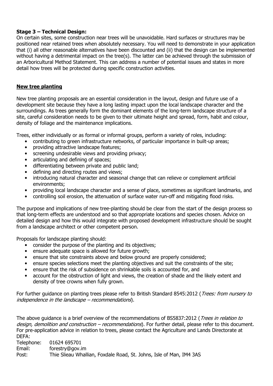## **Stage 3 – Technical Design:**

On certain sites, some construction near trees will be unavoidable. Hard surfaces or structures may be positioned near retained trees when absolutely necessary. You will need to demonstrate in your application that (i) all other reasonable alternatives have been discounted and (ii) that the design can be implemented without having a detrimental impact on the tree(s). The latter can be achieved through the submission of an Arboricultural Method Statement. This can address a number of potential issues and states in more detail how trees will be protected during specific construction activities.

## **New tree planting**

New tree planting proposals are an essential consideration in the layout, design and future use of a development site because they have a long lasting impact upon the local landscape character and the surroundings. As trees generally form the dominant elements of the long-term landscape structure of a site, careful consideration needs to be given to their ultimate height and spread, form, habit and colour, density of foliage and the maintenance implications.

Trees, either individually or as formal or informal groups, perform a variety of roles, including:

- contributing to green infrastructure networks, of particular importance in built-up areas;
- providing attractive landscape features;
- screening undesirable views and providing privacy;
- articulating and defining of spaces;
- differentiating between private and public land;
- defining and directing routes and views;
- introducing natural character and seasonal change that can relieve or complement artificial environments;
- providing local landscape character and a sense of place, sometimes as significant landmarks, and
- controlling soil erosion, the attenuation of surface water run-off and mitigating flood risks.

The purpose and implications of new tree-planting should be clear from the start of the design process so that long-term effects are understood and so that appropriate locations and species chosen. Advice on detailed design and how this would integrate with proposed development infrastructure should be sought from a landscape architect or other competent person.

Proposals for landscape planting should:

- consider the purpose of the planting and its objectives;
- ensure adequate space is allowed for future growth;
- ensure that site constraints above and below ground are properly considered;
- ensure species selections meet the planting objectives and suit the constraints of the site;
- ensure that the risk of subsidence on shrinkable soils is accounted for, and
- account for the obstruction of light and views, the creation of shade and the likely extent and density of tree crowns when fully grown.

For further quidance on planting trees please refer to British Standard 8545:2012 (Trees: from nursery to independence in the landscape – recommendations).

The above guidance is a brief overview of the recommendations of BS5837:2012 (Trees in relation to design, demolition and construction – recommendations). For further detail, please refer to this document. For pre-application advice in relation to trees, please contact the Agriculture and Lands Directorate at DEFA:

Telephone: 01624 695701 Email: forestry@gov.im Post: Thie Slieau Whallian, Foxdale Road, St. Johns, Isle of Man, IM4 3AS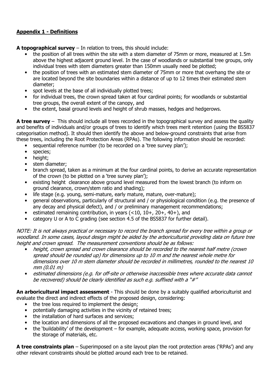## **Appendix 1 - Definitions**

**A topographical survey** – In relation to trees, this should include:

- the position of all trees within the site with a stem diameter of 75mm or more, measured at 1.5m above the highest adjacent ground level. In the case of woodlands or substantial tree groups, only individual trees with stem diameters greater than 150mm usually need be plotted;
- the position of trees with an estimated stem diameter of 75mm or more that overhang the site or are located beyond the site boundaries within a distance of up to 12 times their estimated stem diameter;
- spot levels at the base of all individually plotted trees:
- for individual trees, the crown spread taken at four cardinal points; for woodlands or substantial tree groups, the overall extent of the canopy, and
- the extent, basal ground levels and height of shrub masses, hedges and hedgerows.

**A tree survey** – This should include all trees recorded in the topographical survey and assess the quality and benefits of individuals and/or groups of trees to identify which trees merit retention (using the BS5837 categorisation method). It should then identify the above and below-ground constraints that arise from these trees, including the Root Protection Areas (RPAs). The following information should be recorded:

- sequential reference number (to be recorded on a 'tree survey plan');
- species;
- height;
- stem diameter:
- branch spread, taken as a minimum at the four cardinal points, to derive an accurate representation of the crown (to be plotted on a 'tree survey plan');
- existing height clearance above ground level measured from the lowest branch (to inform on ground clearance, crown/stem ratio and shading);
- life stage (e.g. young, semi-mature, early mature, mature, over-mature);
- general observations, particularly of structural and / or physiological condition (e.g. the presence of any decay and physical defect), and / or preliminary management recommendations;
- estimated remaining contribution, in years  $($  < 10, 10 +, 20 +, 40 +), and
- category U or A to C grading (see section 4.5 of the BS5837 for further detail).

NOTE: It is not always practical or necessary to record the branch spread for every tree within a group or woodland. In some cases, layout design might be aided by the arboriculturist providing data on future tree height and crown spread. The measurement conventions should be as follows:

- height, crown spread and crown clearance should be recorded to the nearest half metre (crown spread should be rounded up) for dimensions up to 10 m and the nearest whole metre for dimensions over 10 m stem diameter should be recorded in millimetres, rounded to the nearest 10 mm (0.01 m)
- estimated dimensions (e.g. for off-site or otherwise inaccessible trees where accurate data cannot be recovered) should be clearly identified as such e.g. suffixed with a "#"

**An arboricultural impact assessment** - This should be done by a suitably qualified arboriculturist and evaluate the direct and indirect effects of the proposed design, considering:

- the tree loss required to implement the design;
- potentially damaging activities in the vicinity of retained trees;
- the installation of hard surfaces and services;
- the location and dimensions of all the proposed excavations and changes in ground level, and
- the 'buildability' of the development for example, adequate access, working space, provision for the storage of materials, etc.

**A tree constraints plan** – Superimposed on a site layout plan the root protection areas ('RPAs') and any other relevant constraints should be plotted around each tree to be retained.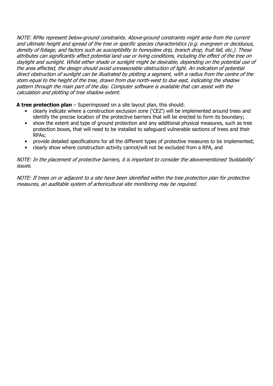NOTE: RPAs represent below-ground constraints. Above-ground constraints might arise from the current and ultimate height and spread of the tree or specific species characteristics (e.g. evergreen or deciduous, density of foliage, and factors such as susceptibility to honeydew drip, branch drop, fruit fall, etc.). These attributes can significantly affect potential land use or living conditions, including the effect of the tree on daylight and sunlight. Whilst either shade or sunlight might be desirable, depending on the potential use of the area affected, the design should avoid unreasonable obstruction of light. An indication of potential direct obstruction of sunlight can be illustrated by plotting a segment, with a radius from the centre of the stem equal to the height of the tree, drawn from due north-west to due east, indicating the shadow pattern through the main part of the day. Computer software is available that can assist with the calculation and plotting of tree shadow extent.

**A tree protection plan** – Superimposed on a site layout plan, this should:

- clearly indicate where a construction exclusion zone ('CEZ') will be implemented around trees and identify the precise location of the protective barriers that will be erected to form its boundary;
- show the extent and type of ground protection and any additional physical measures, such as tree protection boxes, that will need to be installed to safeguard vulnerable sections of trees and their RPAs;
- provide detailed specifications for all the different types of protective measures to be implemented;
- clearly show where construction activity cannot/will not be excluded from a RPA, and

NOTE: In the placement of protective barriers, it is important to consider the abovementioned 'buildability' issues.

NOTE: If trees on or adjacent to a site have been identified within the tree protection plan for protective measures, an auditable system of arboricultural site monitoring may be required.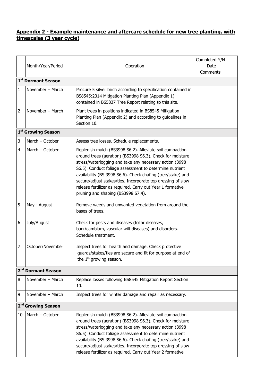## **Appendix 2 - Example maintenance and aftercare schedule for new tree planting, with timescales (3 year cycle)**

|                                | Month/Year/Period              | Operation                                                                                                                                                                                                                                                                                                                                                                                                                                                                     | Completed Y/N<br>Date |  |  |  |
|--------------------------------|--------------------------------|-------------------------------------------------------------------------------------------------------------------------------------------------------------------------------------------------------------------------------------------------------------------------------------------------------------------------------------------------------------------------------------------------------------------------------------------------------------------------------|-----------------------|--|--|--|
|                                | 1 <sup>st</sup> Dormant Season |                                                                                                                                                                                                                                                                                                                                                                                                                                                                               | Comments              |  |  |  |
| $\mathbf{1}$                   | November - March               | Procure 5 silver birch according to specification contained in<br>BS8545:2014 Mitigation Planting Plan (Appendix 1)<br>contained in BS5837 Tree Report relating to this site.                                                                                                                                                                                                                                                                                                 |                       |  |  |  |
| $\overline{2}$                 | November - March               | Plant trees in positions indicated in BS8545 Mitigation<br>Planting Plan (Appendix 2) and according to guidelines in<br>Section 10.                                                                                                                                                                                                                                                                                                                                           |                       |  |  |  |
|                                | 1 <sup>st</sup> Growing Season |                                                                                                                                                                                                                                                                                                                                                                                                                                                                               |                       |  |  |  |
| 3                              | March - October                | Assess tree losses. Schedule replacements.                                                                                                                                                                                                                                                                                                                                                                                                                                    |                       |  |  |  |
| 4                              | March - October                | Replenish mulch (BS3998 S6.2). Alleviate soil compaction<br>around trees (aeration) (BS3998 S6.3). Check for moisture<br>stress/waterlogging and take any necessary action (3998<br>S6.5). Conduct foliage assessment to determine nutrient<br>availability (BS 3998 S6.6). Check chafing (tree/stake) and<br>secure/adjust stakes/ties. Incorporate top dressing of slow<br>release fertilizer as required. Carry out Year 1 formative<br>pruning and shaping (BS3998 S7.4). |                       |  |  |  |
| 5                              | May - August                   | Remove weeds and unwanted vegetation from around the<br>bases of trees.                                                                                                                                                                                                                                                                                                                                                                                                       |                       |  |  |  |
| 6                              | July/August                    | Check for pests and diseases (foliar diseases,<br>bark/cambium, vascular wilt diseases) and disorders.<br>Schedule treatment.                                                                                                                                                                                                                                                                                                                                                 |                       |  |  |  |
| 7                              | October/November               | Inspect trees for health and damage. Check protective<br>quards/stakes/ties are secure and fit for purpose at end of<br>the 1 <sup>st</sup> growing season.                                                                                                                                                                                                                                                                                                                   |                       |  |  |  |
|                                | 2 <sup>nd</sup> Dormant Season |                                                                                                                                                                                                                                                                                                                                                                                                                                                                               |                       |  |  |  |
| 8                              | November - March               | Replace losses following BS8545 Mitigation Report Section<br>10.                                                                                                                                                                                                                                                                                                                                                                                                              |                       |  |  |  |
| 9                              | November - March               | Inspect trees for winter damage and repair as necessary.                                                                                                                                                                                                                                                                                                                                                                                                                      |                       |  |  |  |
| 2 <sup>nd</sup> Growing Season |                                |                                                                                                                                                                                                                                                                                                                                                                                                                                                                               |                       |  |  |  |
| 10                             | March - October                | Replenish mulch (BS3998 S6.2). Alleviate soil compaction<br>around trees (aeration) (BS3998 S6.3). Check for moisture<br>stress/waterlogging and take any necessary action (3998<br>S6.5). Conduct foliage assessment to determine nutrient<br>availability (BS 3998 S6.6). Check chafing (tree/stake) and<br>secure/adjust stakes/ties. Incorporate top dressing of slow<br>release fertilizer as required. Carry out Year 2 formative                                       |                       |  |  |  |